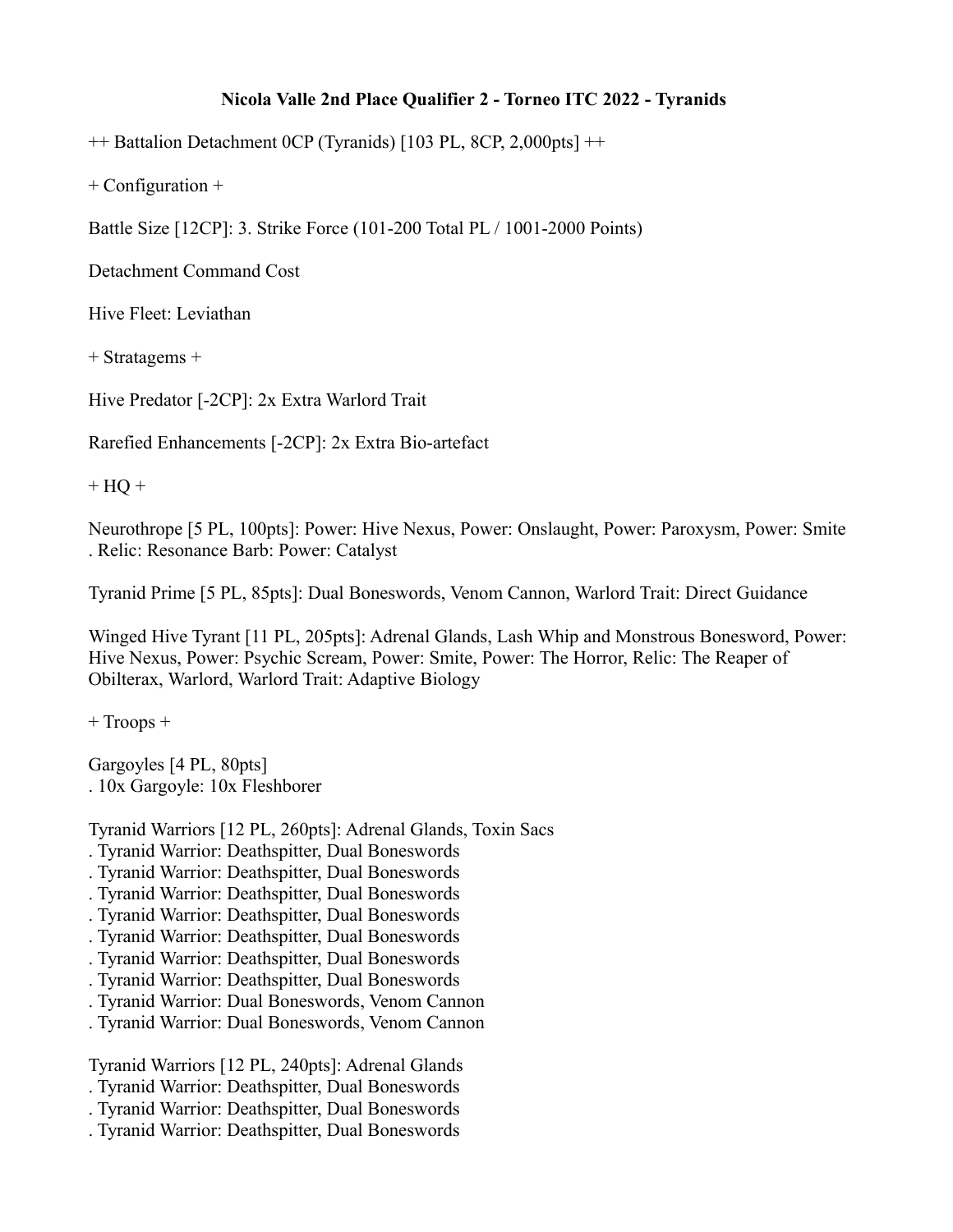## **Nicola Valle 2nd Place Qualifier 2 - Torneo ITC 2022 - Tyranids**

++ Battalion Detachment 0CP (Tyranids) [103 PL, 8CP, 2,000pts] ++

+ Configuration +

Battle Size [12CP]: 3. Strike Force (101-200 Total PL / 1001-2000 Points)

Detachment Command Cost

Hive Fleet: Leviathan

+ Stratagems +

Hive Predator [-2CP]: 2x Extra Warlord Trait

Rarefied Enhancements [-2CP]: 2x Extra Bio-artefact

 $+$  HQ  $+$ 

Neurothrope [5 PL, 100pts]: Power: Hive Nexus, Power: Onslaught, Power: Paroxysm, Power: Smite . Relic: Resonance Barb: Power: Catalyst

Tyranid Prime [5 PL, 85pts]: Dual Boneswords, Venom Cannon, Warlord Trait: Direct Guidance

Winged Hive Tyrant [11 PL, 205pts]: Adrenal Glands, Lash Whip and Monstrous Bonesword, Power: Hive Nexus, Power: Psychic Scream, Power: Smite, Power: The Horror, Relic: The Reaper of Obilterax, Warlord, Warlord Trait: Adaptive Biology

+ Troops +

Gargoyles [4 PL, 80pts] . 10x Gargoyle: 10x Fleshborer

Tyranid Warriors [12 PL, 260pts]: Adrenal Glands, Toxin Sacs

- . Tyranid Warrior: Deathspitter, Dual Boneswords
- . Tyranid Warrior: Deathspitter, Dual Boneswords
- . Tyranid Warrior: Deathspitter, Dual Boneswords
- . Tyranid Warrior: Deathspitter, Dual Boneswords
- . Tyranid Warrior: Deathspitter, Dual Boneswords
- . Tyranid Warrior: Deathspitter, Dual Boneswords
- . Tyranid Warrior: Deathspitter, Dual Boneswords
- . Tyranid Warrior: Dual Boneswords, Venom Cannon
- . Tyranid Warrior: Dual Boneswords, Venom Cannon

Tyranid Warriors [12 PL, 240pts]: Adrenal Glands

. Tyranid Warrior: Deathspitter, Dual Boneswords

- . Tyranid Warrior: Deathspitter, Dual Boneswords
- . Tyranid Warrior: Deathspitter, Dual Boneswords